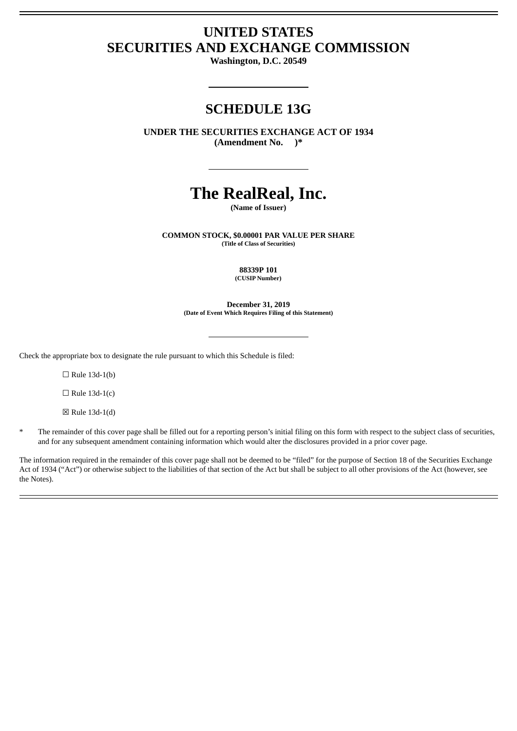# **UNITED STATES SECURITIES AND EXCHANGE COMMISSION**

**Washington, D.C. 20549**

## **SCHEDULE 13G**

**UNDER THE SECURITIES EXCHANGE ACT OF 1934 (Amendment No. )\***

# **The RealReal, Inc.**

**(Name of Issuer)**

**COMMON STOCK, \$0.00001 PAR VALUE PER SHARE (Title of Class of Securities)**

> **88339P 101 (CUSIP Number)**

**December 31, 2019 (Date of Event Which Requires Filing of this Statement)**

Check the appropriate box to designate the rule pursuant to which this Schedule is filed:

 $\Box$  Rule 13d-1(b)

 $\Box$  Rule 13d-1(c)

☒ Rule 13d-1(d)

The remainder of this cover page shall be filled out for a reporting person's initial filing on this form with respect to the subject class of securities, and for any subsequent amendment containing information which would alter the disclosures provided in a prior cover page.

The information required in the remainder of this cover page shall not be deemed to be "filed" for the purpose of Section 18 of the Securities Exchange Act of 1934 ("Act") or otherwise subject to the liabilities of that section of the Act but shall be subject to all other provisions of the Act (however, see the Notes).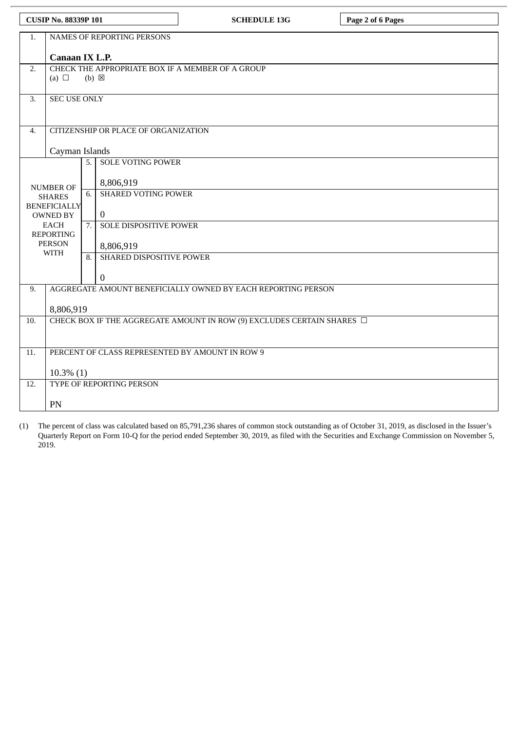| <b>CUSIP No. 88339P 101</b> |                                                                             |    |                                      | <b>SCHEDULE 13G</b> | Page 2 of 6 Pages |  |  |  |
|-----------------------------|-----------------------------------------------------------------------------|----|--------------------------------------|---------------------|-------------------|--|--|--|
| 1.                          | NAMES OF REPORTING PERSONS                                                  |    |                                      |                     |                   |  |  |  |
|                             | Canaan IX L.P.                                                              |    |                                      |                     |                   |  |  |  |
| 2.                          | CHECK THE APPROPRIATE BOX IF A MEMBER OF A GROUP                            |    |                                      |                     |                   |  |  |  |
|                             | (a) $\Box$<br>$(b) \boxtimes$                                               |    |                                      |                     |                   |  |  |  |
| 3.                          | <b>SEC USE ONLY</b>                                                         |    |                                      |                     |                   |  |  |  |
|                             |                                                                             |    |                                      |                     |                   |  |  |  |
| 4.                          |                                                                             |    | CITIZENSHIP OR PLACE OF ORGANIZATION |                     |                   |  |  |  |
|                             | Cayman Islands                                                              |    |                                      |                     |                   |  |  |  |
|                             | $\overline{5}$ .<br><b>SOLE VOTING POWER</b>                                |    |                                      |                     |                   |  |  |  |
|                             | <b>NUMBER OF</b>                                                            |    | 8,806,919                            |                     |                   |  |  |  |
|                             | <b>SHARES</b>                                                               | 6. | <b>SHARED VOTING POWER</b>           |                     |                   |  |  |  |
|                             | <b>BENEFICIALLY</b><br>OWNED BY                                             |    | $\bf{0}$                             |                     |                   |  |  |  |
|                             | <b>EACH</b><br><b>REPORTING</b>                                             |    | <b>SOLE DISPOSITIVE POWER</b>        |                     |                   |  |  |  |
|                             | <b>PERSON</b>                                                               |    | 8,806,919                            |                     |                   |  |  |  |
|                             | <b>WITH</b>                                                                 | 8. | SHARED DISPOSITIVE POWER             |                     |                   |  |  |  |
|                             |                                                                             |    | $\overline{0}$                       |                     |                   |  |  |  |
| 9.                          | AGGREGATE AMOUNT BENEFICIALLY OWNED BY EACH REPORTING PERSON                |    |                                      |                     |                   |  |  |  |
|                             | 8,806,919                                                                   |    |                                      |                     |                   |  |  |  |
| 10.                         | CHECK BOX IF THE AGGREGATE AMOUNT IN ROW (9) EXCLUDES CERTAIN SHARES $\Box$ |    |                                      |                     |                   |  |  |  |
|                             |                                                                             |    |                                      |                     |                   |  |  |  |
| 11.                         | PERCENT OF CLASS REPRESENTED BY AMOUNT IN ROW 9                             |    |                                      |                     |                   |  |  |  |
|                             |                                                                             |    |                                      |                     |                   |  |  |  |
| 12.                         | $10.3\%$ (1)<br>TYPE OF REPORTING PERSON                                    |    |                                      |                     |                   |  |  |  |
|                             | PN                                                                          |    |                                      |                     |                   |  |  |  |

(1) The percent of class was calculated based on 85,791,236 shares of common stock outstanding as of October 31, 2019, as disclosed in the Issuer's Quarterly Report on Form 10-Q for the period ended September 30, 2019, as filed with the Securities and Exchange Commission on November 5, 2019.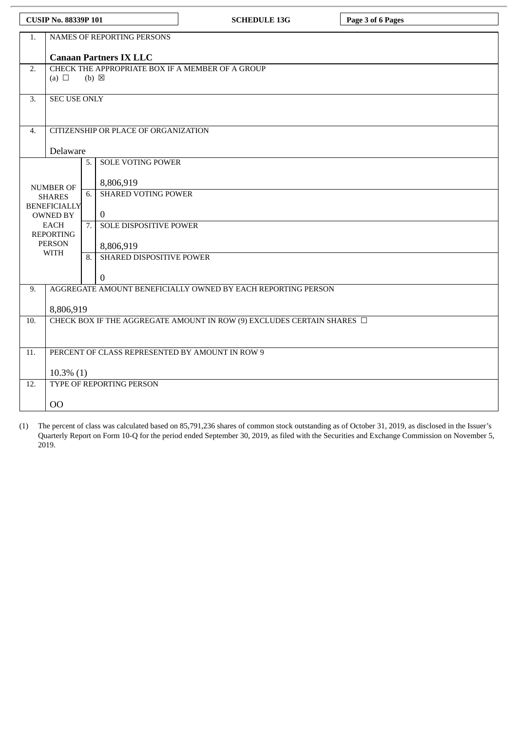| <b>CUSIP No. 88339P 101</b> |                                                                                |  |                                      | <b>SCHEDULE 13G</b> | Page 3 of 6 Pages |  |  |  |
|-----------------------------|--------------------------------------------------------------------------------|--|--------------------------------------|---------------------|-------------------|--|--|--|
| 1.                          | NAMES OF REPORTING PERSONS                                                     |  |                                      |                     |                   |  |  |  |
|                             | <b>Canaan Partners IX LLC</b>                                                  |  |                                      |                     |                   |  |  |  |
| 2.                          | CHECK THE APPROPRIATE BOX IF A MEMBER OF A GROUP                               |  |                                      |                     |                   |  |  |  |
|                             | (a) $\Box$<br>$(b) \boxtimes$                                                  |  |                                      |                     |                   |  |  |  |
| $\overline{3}$ .            | <b>SEC USE ONLY</b>                                                            |  |                                      |                     |                   |  |  |  |
|                             |                                                                                |  |                                      |                     |                   |  |  |  |
| 4.                          |                                                                                |  | CITIZENSHIP OR PLACE OF ORGANIZATION |                     |                   |  |  |  |
|                             | Delaware                                                                       |  |                                      |                     |                   |  |  |  |
|                             | <b>NUMBER OF</b><br><b>SHARES</b>                                              |  | <b>SOLE VOTING POWER</b>             |                     |                   |  |  |  |
|                             |                                                                                |  | 8,806,919                            |                     |                   |  |  |  |
|                             |                                                                                |  | <b>SHARED VOTING POWER</b>           |                     |                   |  |  |  |
|                             | <b>BENEFICIALLY</b><br><b>OWNED BY</b>                                         |  | $\overline{0}$                       |                     |                   |  |  |  |
|                             | <b>EACH</b>                                                                    |  | <b>SOLE DISPOSITIVE POWER</b>        |                     |                   |  |  |  |
|                             | <b>REPORTING</b><br><b>PERSON</b><br><b>WITH</b>                               |  | 8,806,919                            |                     |                   |  |  |  |
|                             |                                                                                |  | SHARED DISPOSITIVE POWER             |                     |                   |  |  |  |
|                             |                                                                                |  | 0                                    |                     |                   |  |  |  |
| 9.                          | AGGREGATE AMOUNT BENEFICIALLY OWNED BY EACH REPORTING PERSON                   |  |                                      |                     |                   |  |  |  |
|                             | 8,806,919                                                                      |  |                                      |                     |                   |  |  |  |
| 10.                         | CHECK BOX IF THE AGGREGATE AMOUNT IN ROW (9) EXCLUDES CERTAIN SHARES $\square$ |  |                                      |                     |                   |  |  |  |
|                             |                                                                                |  |                                      |                     |                   |  |  |  |
| 11.                         | PERCENT OF CLASS REPRESENTED BY AMOUNT IN ROW 9                                |  |                                      |                     |                   |  |  |  |
|                             | $10.3\%$ (1)                                                                   |  |                                      |                     |                   |  |  |  |
| 12.                         |                                                                                |  | TYPE OF REPORTING PERSON             |                     |                   |  |  |  |
|                             | 00                                                                             |  |                                      |                     |                   |  |  |  |

(1) The percent of class was calculated based on 85,791,236 shares of common stock outstanding as of October 31, 2019, as disclosed in the Issuer's Quarterly Report on Form 10-Q for the period ended September 30, 2019, as filed with the Securities and Exchange Commission on November 5, 2019.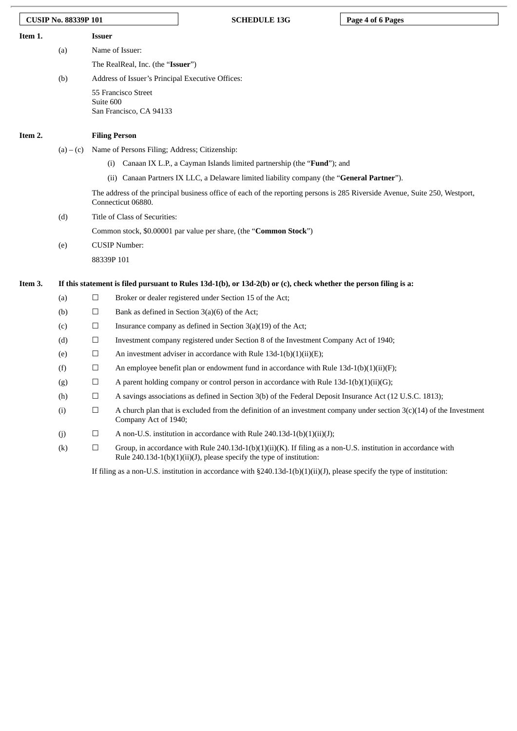| <b>CUSIP No. 88339P 101</b> |                   |                                                                                                                                                   |                                                  | <b>SCHEDULE 13G</b>                                                                                                                                                                   | Page 4 of 6 Pages |  |  |
|-----------------------------|-------------------|---------------------------------------------------------------------------------------------------------------------------------------------------|--------------------------------------------------|---------------------------------------------------------------------------------------------------------------------------------------------------------------------------------------|-------------------|--|--|
| Item 1.                     |                   | Issuer                                                                                                                                            |                                                  |                                                                                                                                                                                       |                   |  |  |
|                             | (a)               |                                                                                                                                                   | Name of Issuer:                                  |                                                                                                                                                                                       |                   |  |  |
|                             |                   |                                                                                                                                                   | The RealReal, Inc. (the "Issuer")                |                                                                                                                                                                                       |                   |  |  |
|                             | (b)               |                                                                                                                                                   | Address of Issuer's Principal Executive Offices: |                                                                                                                                                                                       |                   |  |  |
|                             |                   | Suite 600                                                                                                                                         | 55 Francisco Street<br>San Francisco, CA 94133   |                                                                                                                                                                                       |                   |  |  |
| Item 2.                     |                   |                                                                                                                                                   | <b>Filing Person</b>                             |                                                                                                                                                                                       |                   |  |  |
|                             | $(a) - (c)$       |                                                                                                                                                   | Name of Persons Filing; Address; Citizenship:    |                                                                                                                                                                                       |                   |  |  |
|                             |                   | $\left( 1\right)$                                                                                                                                 |                                                  | Canaan IX L.P., a Cayman Islands limited partnership (the " <b>Fund</b> "); and                                                                                                       |                   |  |  |
|                             |                   | (ii)                                                                                                                                              |                                                  | Canaan Partners IX LLC, a Delaware limited liability company (the "General Partner").                                                                                                 |                   |  |  |
|                             |                   | The address of the principal business office of each of the reporting persons is 285 Riverside Avenue, Suite 250, Westport,<br>Connecticut 06880. |                                                  |                                                                                                                                                                                       |                   |  |  |
|                             | (d)               |                                                                                                                                                   | Title of Class of Securities:                    |                                                                                                                                                                                       |                   |  |  |
|                             |                   |                                                                                                                                                   |                                                  | Common stock, \$0.00001 par value per share, (the "Common Stock")                                                                                                                     |                   |  |  |
|                             | (e)               | <b>CUSIP Number:</b>                                                                                                                              |                                                  |                                                                                                                                                                                       |                   |  |  |
|                             |                   | 88339P 101                                                                                                                                        |                                                  |                                                                                                                                                                                       |                   |  |  |
| Item 3.                     |                   |                                                                                                                                                   |                                                  | If this statement is filed pursuant to Rules 13d-1(b), or 13d-2(b) or (c), check whether the person filing is a:                                                                      |                   |  |  |
|                             | (a)               | $\Box$                                                                                                                                            |                                                  | Broker or dealer registered under Section 15 of the Act;                                                                                                                              |                   |  |  |
|                             | (b)               | $\Box$                                                                                                                                            |                                                  | Bank as defined in Section $3(a)(6)$ of the Act;                                                                                                                                      |                   |  |  |
|                             | (c)               | $\Box$                                                                                                                                            |                                                  | Insurance company as defined in Section $3(a)(19)$ of the Act;                                                                                                                        |                   |  |  |
|                             | (d)               | $\Box$                                                                                                                                            |                                                  | Investment company registered under Section 8 of the Investment Company Act of 1940;                                                                                                  |                   |  |  |
|                             | (e)               | $\Box$                                                                                                                                            |                                                  | An investment adviser in accordance with Rule $13d-1(b)(1)(ii)(E)$ ;                                                                                                                  |                   |  |  |
|                             | (f)               | □                                                                                                                                                 |                                                  | An employee benefit plan or endowment fund in accordance with Rule $13d-1(b)(1)(ii)(F)$ ;                                                                                             |                   |  |  |
|                             | (g)               | $\Box$                                                                                                                                            |                                                  | A parent holding company or control person in accordance with Rule $13d-1(b)(1)(ii)(G)$ ;                                                                                             |                   |  |  |
|                             | (h)               | ப                                                                                                                                                 |                                                  | A savings associations as defined in Section 3(b) of the Federal Deposit Insurance Act (12 U.S.C. 1813);                                                                              |                   |  |  |
|                             | (i)               | $\Box$                                                                                                                                            | Company Act of 1940;                             | A church plan that is excluded from the definition of an investment company under section $3(c)(14)$ of the Investment                                                                |                   |  |  |
|                             | (j)               | $\Box$                                                                                                                                            |                                                  | A non-U.S. institution in accordance with Rule 240.13d-1(b)(1)(ii)(J);                                                                                                                |                   |  |  |
|                             | $\left( k\right)$ | $\Box$                                                                                                                                            |                                                  | Group, in accordance with Rule 240.13d-1(b)(1)(ii)(K). If filing as a non-U.S. institution in accordance with<br>Rule 240.13d-1(b)(1)(ii)(J), please specify the type of institution: |                   |  |  |

If filing as a non-U.S. institution in accordance with §240.13d-1(b)(1)(ii)(J), please specify the type of institution: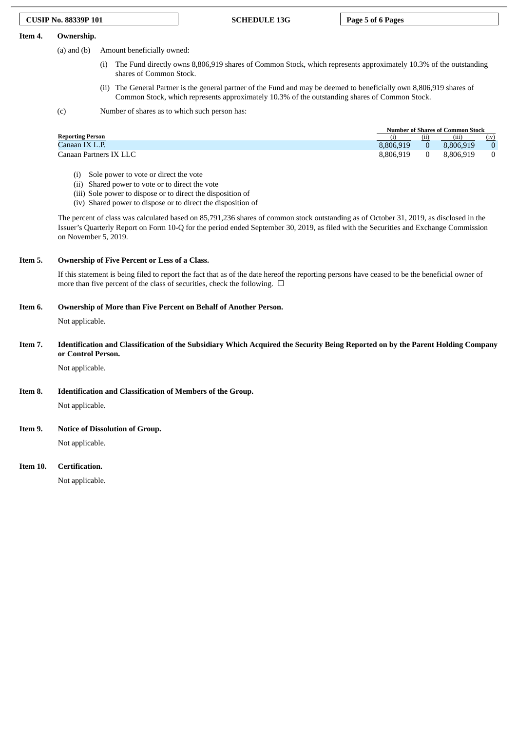#### **CUSIP No. 88339P 101 SCHEDULE 13G Page 5 of 6 Pages**

#### **Item 4. Ownership.**

(a) and (b) Amount beneficially owned:

- (i) The Fund directly owns 8,806,919 shares of Common Stock, which represents approximately 10.3% of the outstanding shares of Common Stock.
- (ii) The General Partner is the general partner of the Fund and may be deemed to beneficially own 8,806,919 shares of Common Stock, which represents approximately 10.3% of the outstanding shares of Common Stock.

(c) Number of shares as to which such person has:

|                         | <b>Number of Shares of Common Stock</b> |     |           |          |  |
|-------------------------|-----------------------------------------|-----|-----------|----------|--|
| <b>Reporting Person</b> |                                         | (11 | (nn)      | (iv)     |  |
| Canaan IX L.P.          | 8.806.919                               |     | 8.806.919 |          |  |
| Canaan Partners IX LLC  | 8.806.919                               |     | 8.806.919 | $\Omega$ |  |

- (i) Sole power to vote or direct the vote
- (ii) Shared power to vote or to direct the vote
- (iii) Sole power to dispose or to direct the disposition of
- (iv) Shared power to dispose or to direct the disposition of

The percent of class was calculated based on 85,791,236 shares of common stock outstanding as of October 31, 2019, as disclosed in the Issuer's Quarterly Report on Form 10-Q for the period ended September 30, 2019, as filed with the Securities and Exchange Commission on November 5, 2019.

#### **Item 5. Ownership of Five Percent or Less of a Class.**

If this statement is being filed to report the fact that as of the date hereof the reporting persons have ceased to be the beneficial owner of more than five percent of the class of securities, check the following.  $\Box$ 

#### **Item 6. Ownership of More than Five Percent on Behalf of Another Person.**

Not applicable.

Item 7. Identification and Classification of the Subsidiary Which Acquired the Security Being Reported on by the Parent Holding Company **or Control Person.**

Not applicable.

**Item 8. Identification and Classification of Members of the Group.**

Not applicable.

**Item 9. Notice of Dissolution of Group.**

Not applicable.

#### **Item 10. Certification.**

Not applicable.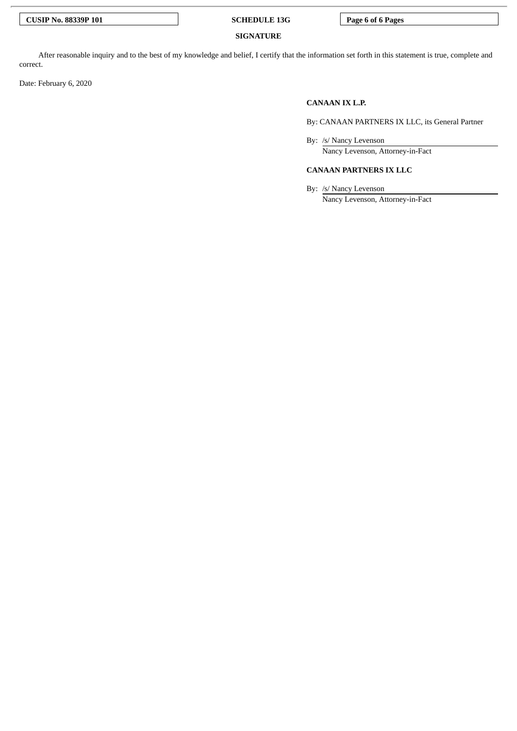**CUSIP No. 88339P 101 SCHEDULE 13G Page 6 of 6 Pages**

#### **SIGNATURE**

After reasonable inquiry and to the best of my knowledge and belief, I certify that the information set forth in this statement is true, complete and correct.

Date: February 6, 2020

### **CANAAN IX L.P.**

By: CANAAN PARTNERS IX LLC, its General Partner

By: /s/ Nancy Levenson

Nancy Levenson, Attorney-in-Fact

### **CANAAN PARTNERS IX LLC**

By: /s/ Nancy Levenson

Nancy Levenson, Attorney-in-Fact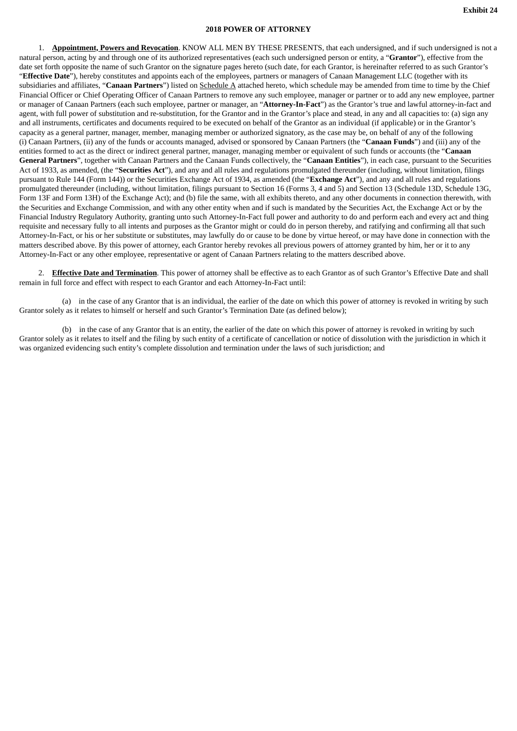### **2018 POWER OF ATTORNEY**

1. **Appointment, Powers and Revocation**. KNOW ALL MEN BY THESE PRESENTS, that each undersigned, and if such undersigned is not a natural person, acting by and through one of its authorized representatives (each such undersigned person or entity, a "**Grantor**"), effective from the date set forth opposite the name of such Grantor on the signature pages hereto (such date, for each Grantor, is hereinafter referred to as such Grantor's "**Effective Date**"), hereby constitutes and appoints each of the employees, partners or managers of Canaan Management LLC (together with its subsidiaries and affiliates, "**Canaan Partners**") listed on Schedule A attached hereto, which schedule may be amended from time to time by the Chief Financial Officer or Chief Operating Officer of Canaan Partners to remove any such employee, manager or partner or to add any new employee, partner or manager of Canaan Partners (each such employee, partner or manager, an "**Attorney-In-Fact**") as the Grantor's true and lawful attorney-in-fact and agent, with full power of substitution and re-substitution, for the Grantor and in the Grantor's place and stead, in any and all capacities to: (a) sign any and all instruments, certificates and documents required to be executed on behalf of the Grantor as an individual (if applicable) or in the Grantor's capacity as a general partner, manager, member, managing member or authorized signatory, as the case may be, on behalf of any of the following (i) Canaan Partners, (ii) any of the funds or accounts managed, advised or sponsored by Canaan Partners (the "**Canaan Funds**") and (iii) any of the entities formed to act as the direct or indirect general partner, manager, managing member or equivalent of such funds or accounts (the "**Canaan General Partners**", together with Canaan Partners and the Canaan Funds collectively, the "**Canaan Entities**"), in each case, pursuant to the Securities Act of 1933, as amended, (the "**Securities Act**"), and any and all rules and regulations promulgated thereunder (including, without limitation, filings pursuant to Rule 144 (Form 144)) or the Securities Exchange Act of 1934, as amended (the "**Exchange Act**"), and any and all rules and regulations promulgated thereunder (including, without limitation, filings pursuant to Section 16 (Forms 3, 4 and 5) and Section 13 (Schedule 13D, Schedule 13G, Form 13F and Form 13H) of the Exchange Act); and (b) file the same, with all exhibits thereto, and any other documents in connection therewith, with the Securities and Exchange Commission, and with any other entity when and if such is mandated by the Securities Act, the Exchange Act or by the Financial Industry Regulatory Authority, granting unto such Attorney-In-Fact full power and authority to do and perform each and every act and thing requisite and necessary fully to all intents and purposes as the Grantor might or could do in person thereby, and ratifying and confirming all that such Attorney-In-Fact, or his or her substitute or substitutes, may lawfully do or cause to be done by virtue hereof, or may have done in connection with the matters described above. By this power of attorney, each Grantor hereby revokes all previous powers of attorney granted by him, her or it to any Attorney-In-Fact or any other employee, representative or agent of Canaan Partners relating to the matters described above.

2. **Effective Date and Termination**. This power of attorney shall be effective as to each Grantor as of such Grantor's Effective Date and shall remain in full force and effect with respect to each Grantor and each Attorney-In-Fact until:

(a) in the case of any Grantor that is an individual, the earlier of the date on which this power of attorney is revoked in writing by such Grantor solely as it relates to himself or herself and such Grantor's Termination Date (as defined below);

(b) in the case of any Grantor that is an entity, the earlier of the date on which this power of attorney is revoked in writing by such Grantor solely as it relates to itself and the filing by such entity of a certificate of cancellation or notice of dissolution with the jurisdiction in which it was organized evidencing such entity's complete dissolution and termination under the laws of such jurisdiction; and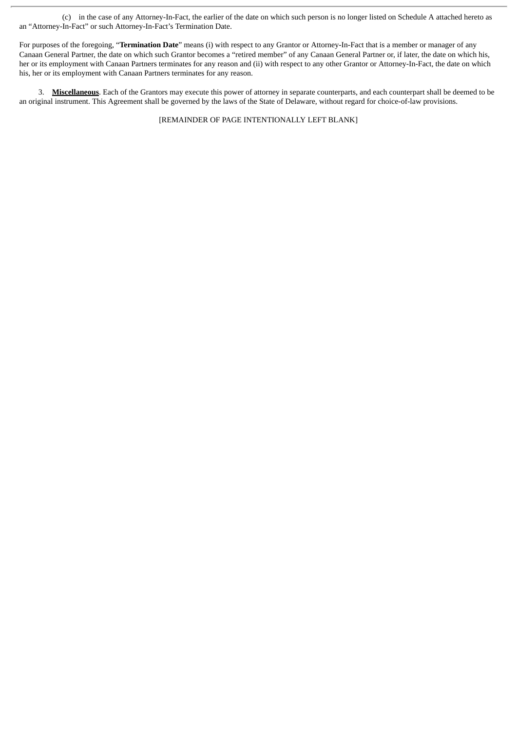(c) in the case of any Attorney-In-Fact, the earlier of the date on which such person is no longer listed on Schedule A attached hereto as an "Attorney-In-Fact" or such Attorney-In-Fact's Termination Date.

For purposes of the foregoing, "**Termination Date**" means (i) with respect to any Grantor or Attorney-In-Fact that is a member or manager of any Canaan General Partner, the date on which such Grantor becomes a "retired member" of any Canaan General Partner or, if later, the date on which his, her or its employment with Canaan Partners terminates for any reason and (ii) with respect to any other Grantor or Attorney-In-Fact, the date on which his, her or its employment with Canaan Partners terminates for any reason.

3. **Miscellaneous**. Each of the Grantors may execute this power of attorney in separate counterparts, and each counterpart shall be deemed to be an original instrument. This Agreement shall be governed by the laws of the State of Delaware, without regard for choice-of-law provisions.

[REMAINDER OF PAGE INTENTIONALLY LEFT BLANK]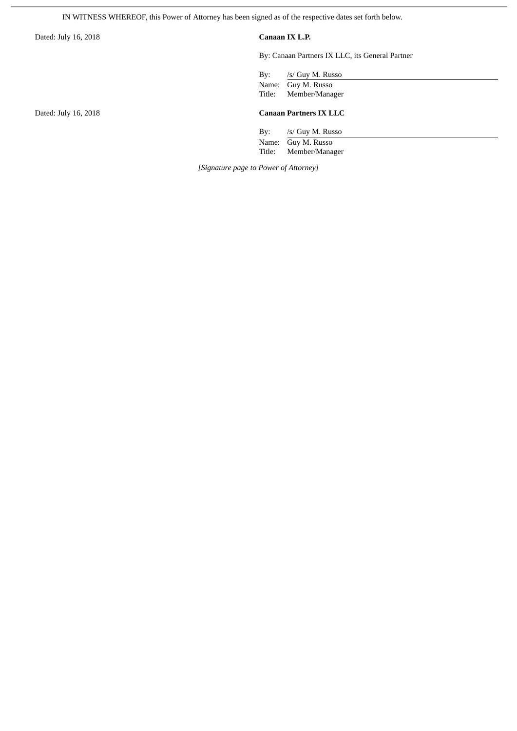IN WITNESS WHEREOF, this Power of Attorney has been signed as of the respective dates set forth below.

Dated: July 16, 2018 **Canaan IX L.P.**

By: Canaan Partners IX LLC, its General Partner

By: /s/ Guy M. Russo

Name: Guy M. Russo Title: Member/Manager

### Dated: July 16, 2018 **Canaan Partners IX LLC**

By: /s/ Guy M. Russo Name: Guy M. Russo<br>Title: Member/Manag Member/Manager

*[Signature page to Power of Attorney]*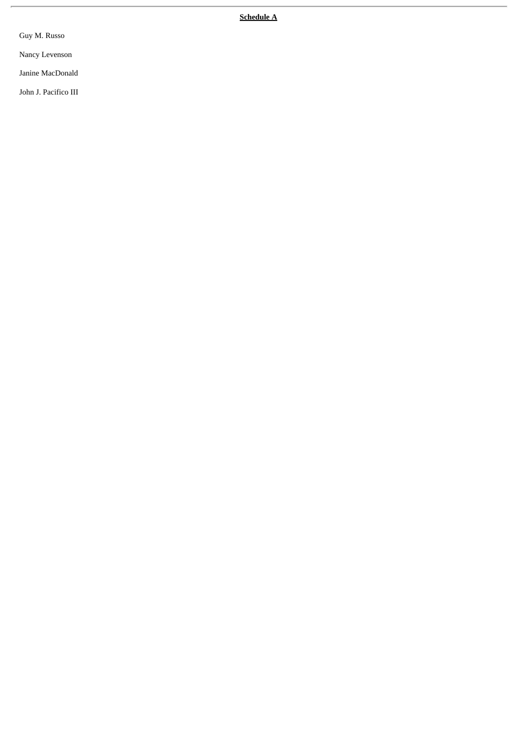**S c h e d u l e A**

Guy M. Russo

Nancy Levenson

Janine MacDonald

John J. Pacifico III